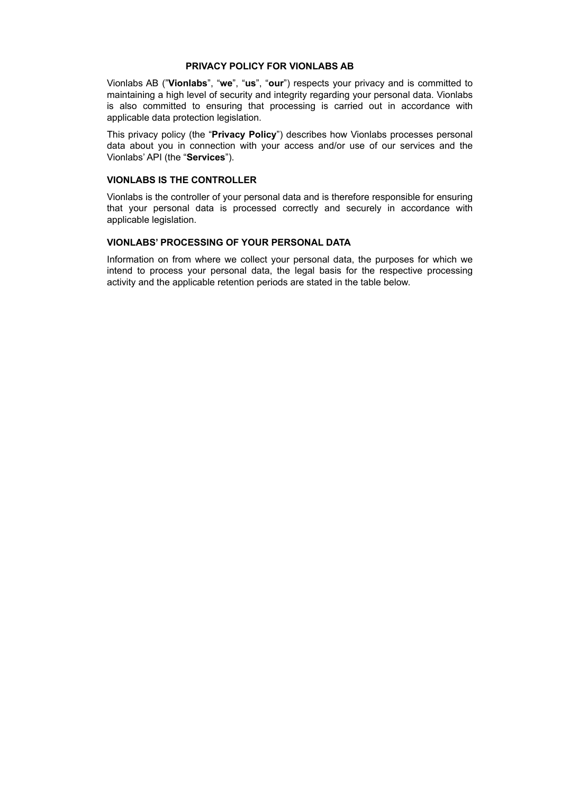#### **PRIVACY POLICY FOR VIONLABS AB**

Vionlabs AB ("**Vionlabs**", "**we**", "**us**", "**our**") respects your privacy and is committed to maintaining a high level of security and integrity regarding your personal data. Vionlabs is also committed to ensuring that processing is carried out in accordance with applicable data protection legislation.

This privacy policy (the "**Privacy Policy**") describes how Vionlabs processes personal data about you in connection with your access and/or use of our services and the Vionlabs' API (the "**Services**").

### **VIONLABS IS THE CONTROLLER**

Vionlabs is the controller of your personal data and is therefore responsible for ensuring that your personal data is processed correctly and securely in accordance with applicable legislation.

# **VIONLABS' PROCESSING OF YOUR PERSONAL DATA**

Information on from where we collect your personal data, the purposes for which we intend to process your personal data, the legal basis for the respective processing activity and the applicable retention periods are stated in the table below.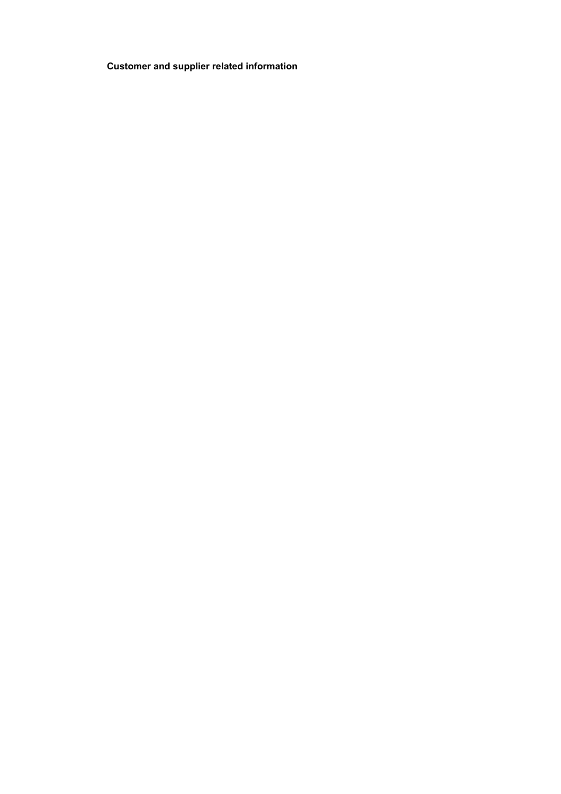**Customer and supplier related information**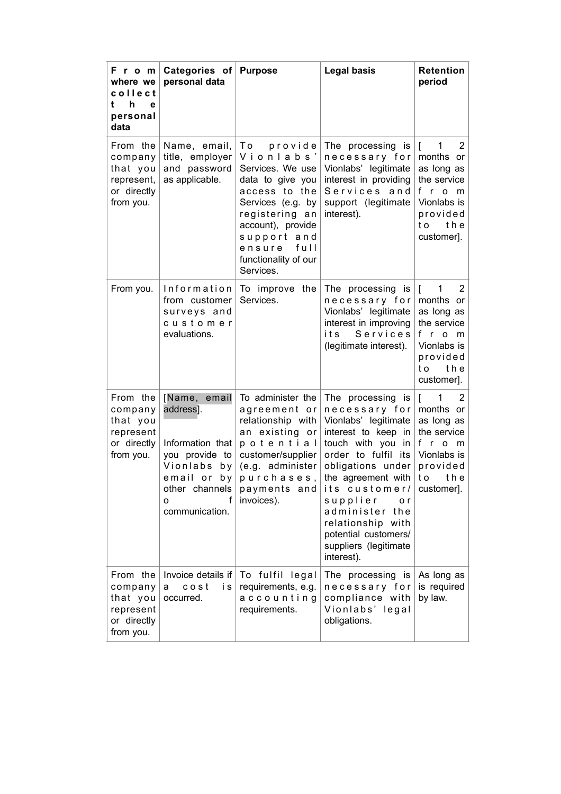| From<br>where we<br>collect<br>h<br>t<br>e<br>personal<br>data            | Categories of<br>personal data                                                                                                                     | <b>Purpose</b>                                                                                                                                                                                                        | <b>Legal basis</b>                                                                                                                                                                                                                                                                                                    | <b>Retention</b><br>period                                                                                                                          |
|---------------------------------------------------------------------------|----------------------------------------------------------------------------------------------------------------------------------------------------|-----------------------------------------------------------------------------------------------------------------------------------------------------------------------------------------------------------------------|-----------------------------------------------------------------------------------------------------------------------------------------------------------------------------------------------------------------------------------------------------------------------------------------------------------------------|-----------------------------------------------------------------------------------------------------------------------------------------------------|
| From the<br>company<br>that you<br>represent,<br>or directly<br>from you. | Name, email,<br>title, employer<br>and password<br>as applicable.                                                                                  | Τo<br>provide<br>Vionlabs'<br>Services. We use<br>data to give you<br>access to the<br>Services (e.g. by<br>registering an<br>account), provide<br>support and<br>full<br>ensure<br>functionality of our<br>Services. | The processing is<br>necessary for<br>Vionlabs' legitimate<br>interest in providing<br>Services and<br>support (legitimate<br>interest).                                                                                                                                                                              | 1<br>2<br>$\mathbf{r}$<br>months or<br>as long as<br>the service<br>fro<br>m<br>Vionlabs is<br>provided<br>the<br>t o<br>customer].                 |
| From you.                                                                 | Information<br>from customer<br>surveys and<br>customer<br>evaluations.                                                                            | To improve the<br>Services.                                                                                                                                                                                           | The processing is<br>necessary for<br>Vionlabs' legitimate<br>interest in improving<br>Services<br>its<br>(legitimate interest).                                                                                                                                                                                      | I<br>1<br>2<br>months or<br>as long as<br>the service<br>f.<br>$\mathsf{r}$<br>$\Omega$<br>m<br>Vionlabs is<br>provided<br>t o<br>the<br>customer]. |
| From the<br>company<br>that you<br>represent<br>or directly<br>from you.  | Name, email<br>address].<br>Information that<br>you provide to<br>Vionlabs<br>b y<br>email or<br>b y<br>other channels<br>f<br>o<br>communication. | To administer the<br>agreement or<br>relationship with<br>an existing or<br>potential<br>customer/supplier<br>(e.g. administer<br>purchases,<br>payments and<br>invoices).                                            | The processing is<br>necessary for<br>Vionlabs' legitimate<br>interest to keep in<br>touch with you<br>in<br>order to fulfil its<br>obligations under<br>the agreement with<br>its customer/<br>supplier<br>o r<br>administer the<br>relationship with<br>potential customers/<br>suppliers (legitimate<br>interest). | I<br>1<br>2<br>months or<br>as long as<br>the service<br>f<br>$r$ o<br>m<br>Vionlabs is<br>provided<br>t o<br>the<br>customer].                     |
| From the<br>company<br>that you<br>represent<br>or directly<br>from you.  | Invoice details if<br>$c$ o s t<br>i s<br>a<br>occurred.                                                                                           | To fulfil legal<br>requirements, e.g.<br>accounting<br>requirements.                                                                                                                                                  | The processing is<br>necessary for<br>compliance with<br>Vionlabs' legal<br>obligations.                                                                                                                                                                                                                              | As long as<br>is required<br>by law.                                                                                                                |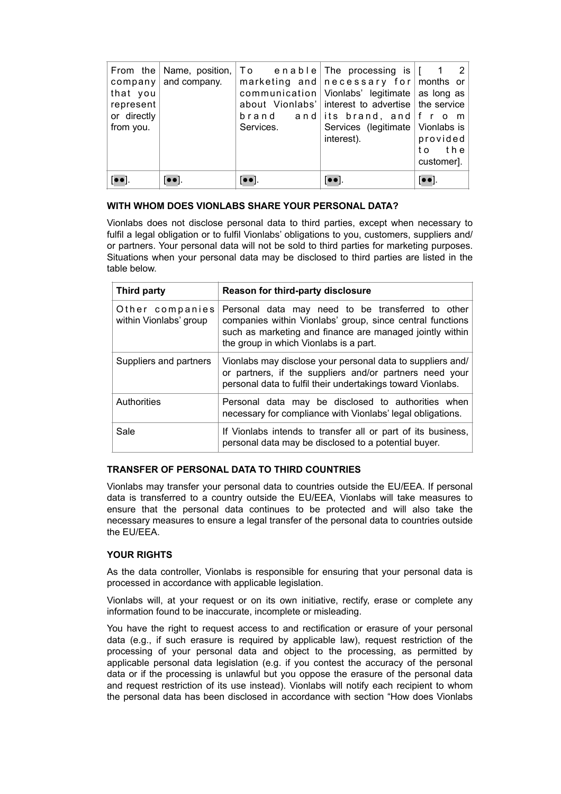| that you<br>represent<br>or directly<br>from you. | From the $\vert$ Name, position,<br>company   and company. | Services.                                      | $ To$ enable The processing is $  \cdot  $<br>marketing and $n$ ecessary for months or<br>communication   Vionlabs' legitimate   as long as<br>about Vionlabs' interest to advertise the service<br>brand and its brand, and $\lfloor f \rfloor$ r o m<br>Services (legitimate Vionlabs is<br>interest). | $\overline{2}$<br>provided<br>to the<br>customer]. |
|---------------------------------------------------|------------------------------------------------------------|------------------------------------------------|----------------------------------------------------------------------------------------------------------------------------------------------------------------------------------------------------------------------------------------------------------------------------------------------------------|----------------------------------------------------|
|                                                   |                                                            | $\bullet$ $\bullet$ $\overline{\phantom{a}}$ . | $\bullet\bullet$ .                                                                                                                                                                                                                                                                                       | $\bullet$ $\bullet$ ].                             |

## **WITH WHOM DOES VIONLABS SHARE YOUR PERSONAL DATA?**

Vionlabs does not disclose personal data to third parties, except when necessary to fulfil a legal obligation or to fulfil Vionlabs' obligations to you, customers, suppliers and/ or partners. Your personal data will not be sold to third parties for marketing purposes. Situations when your personal data may be disclosed to third parties are listed in the table below.

| Third party                               | Reason for third-party disclosure                                                                                                                                                                                    |  |  |
|-------------------------------------------|----------------------------------------------------------------------------------------------------------------------------------------------------------------------------------------------------------------------|--|--|
| Other companies<br>within Vionlabs' group | Personal data may need to be transferred to other<br>companies within Vionlabs' group, since central functions<br>such as marketing and finance are managed jointly within<br>the group in which Vionlabs is a part. |  |  |
| Suppliers and partners                    | Vionlabs may disclose your personal data to suppliers and/<br>or partners, if the suppliers and/or partners need your<br>personal data to fulfil their undertakings toward Vionlabs.                                 |  |  |
| Authorities                               | Personal data may be disclosed to authorities when<br>necessary for compliance with Vionlabs' legal obligations.                                                                                                     |  |  |
| Sale                                      | If Vionlabs intends to transfer all or part of its business,<br>personal data may be disclosed to a potential buyer.                                                                                                 |  |  |

## **TRANSFER OF PERSONAL DATA TO THIRD COUNTRIES**

Vionlabs may transfer your personal data to countries outside the EU/EEA. If personal data is transferred to a country outside the EU/EEA, Vionlabs will take measures to ensure that the personal data continues to be protected and will also take the necessary measures to ensure a legal transfer of the personal data to countries outside the EU/EEA.

## **YOUR RIGHTS**

As the data controller, Vionlabs is responsible for ensuring that your personal data is processed in accordance with applicable legislation.

Vionlabs will, at your request or on its own initiative, rectify, erase or complete any information found to be inaccurate, incomplete or misleading.

You have the right to request access to and rectification or erasure of your personal data (e.g., if such erasure is required by applicable law), request restriction of the processing of your personal data and object to the processing, as permitted by applicable personal data legislation (e.g. if you contest the accuracy of the personal data or if the processing is unlawful but you oppose the erasure of the personal data and request restriction of its use instead). Vionlabs will notify each recipient to whom the personal data has been disclosed in accordance with section "How does Vionlabs